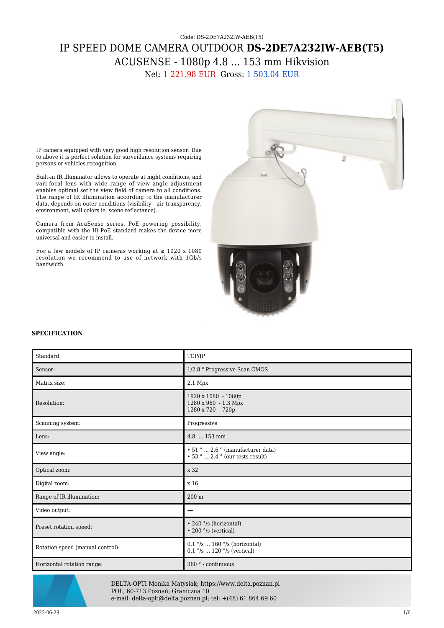## Code: DS-2DE7A232IW-AEB(T5) IP SPEED DOME CAMERA OUTDOOR **DS-2DE7A232IW-AEB(T5)** ACUSENSE - 1080p 4.8 ... 153 mm Hikvision Net: 1 221.98 EUR Gross: 1 503.04 EUR

IP camera equipped with very good high resolution sensor. Due to above it is perfect solution for surveillance systems requiring persons or vehicles recognition.

Built-in IR illuminator allows to operate at night conditions, and vari-focal lens with wide range of view angle adjustment enables optimal set the view field of camera to all conditions. The range of IR illumination according to the manufacturer data, depends on outer conditions (visibility - air transparency, environment, wall colors ie. scene reflectance).

Camera from AcuSense series. PoE powering possibility, compatible with the Hi-PoE standard makes the device more universal and easier to install.

For a few models of IP cameras working at  $\geq$  1920 x 1080 resolution we recommend to use of network with 1Gb/s bandwidth.



## **SPECIFICATION**

| Standard:                        | TCP/IP                                                                            |
|----------------------------------|-----------------------------------------------------------------------------------|
| Sensor:                          | 1/2.8 " Progressive Scan CMOS                                                     |
| Matrix size:                     | 2.1 Mpx                                                                           |
| Resolution:                      | 1920 x 1080 - 1080p<br>1280 x 960 - 1.3 Mpx<br>1280 x 720 - 720p                  |
| Scanning system:                 | Progressive                                                                       |
| Lens:                            | 4.8  153 mm                                                                       |
| View angle:                      | $\cdot$ 51 °  2.6 ° (manufacturer data)<br>$\cdot$ 53 °  2.4 ° (our tests result) |
| Optical zoom:                    | x 32                                                                              |
| Digital zoom:                    | x 16                                                                              |
| Range of IR illumination:        | $200 \text{ m}$                                                                   |
| Video output:                    | -                                                                                 |
| Preset rotation speed:           | • 240 °/s (horizontal)<br>$\cdot$ 200 $\degree$ /s (vertical)                     |
| Rotation speed (manual control): | $0.1$ °/s  160 °/s (horizontal)<br>$0.1$ °/s  120 °/s (vertical)                  |
| Horizontal rotation range:       | 360 <sup>°</sup> - continuous                                                     |



DELTA-OPTI Monika Matysiak; https://www.delta.poznan.pl POL; 60-713 Poznań; Graniczna 10 e-mail: delta-opti@delta.poznan.pl; tel: +(48) 61 864 69 60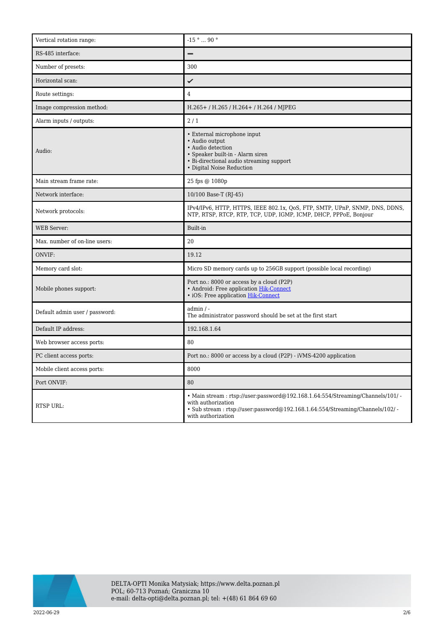| Vertical rotation range:       | $\mathord{\text{-}15}$ $^{\circ}$ $\ldots$ 90 $^{\circ}$                                                                                                                                                   |
|--------------------------------|------------------------------------------------------------------------------------------------------------------------------------------------------------------------------------------------------------|
| RS-485 interface:              |                                                                                                                                                                                                            |
| Number of presets:             | 300                                                                                                                                                                                                        |
| Horizontal scan:               | ✓                                                                                                                                                                                                          |
| Route settings:                | $\overline{4}$                                                                                                                                                                                             |
| Image compression method:      | H.265+/H.265/H.264+/H.264/MJPEG                                                                                                                                                                            |
| Alarm inputs / outputs:        | 2/1                                                                                                                                                                                                        |
| Audio:                         | • External microphone input<br>• Audio output<br>• Audio detection<br>• Speaker built-in - Alarm siren<br>• Bi-directional audio streaming support<br>• Digital Noise Reduction                            |
| Main stream frame rate:        | 25 fps @ 1080p                                                                                                                                                                                             |
| Network interface:             | 10/100 Base-T (RJ-45)                                                                                                                                                                                      |
| Network protocols:             | IPv4/IPv6, HTTP, HTTPS, IEEE 802.1x, QoS, FTP, SMTP, UPnP, SNMP, DNS, DDNS,<br>NTP, RTSP, RTCP, RTP, TCP, UDP, IGMP, ICMP, DHCP, PPPoE, Bonjour                                                            |
| <b>WEB</b> Server:             | Built-in                                                                                                                                                                                                   |
| Max. number of on-line users:  | 20                                                                                                                                                                                                         |
| ONVIF:                         | 19.12                                                                                                                                                                                                      |
| Memory card slot:              | Micro SD memory cards up to 256GB support (possible local recording)                                                                                                                                       |
| Mobile phones support:         | Port no.: 8000 or access by a cloud (P2P)<br>• Android: Free application Hik-Connect<br>• iOS: Free application Hik-Connect                                                                                |
| Default admin user / password: | $admin / -$<br>The administrator password should be set at the first start                                                                                                                                 |
| Default IP address:            | 192.168.1.64                                                                                                                                                                                               |
| Web browser access ports:      | 80                                                                                                                                                                                                         |
| PC client access ports:        | Port no.: 8000 or access by a cloud (P2P) - iVMS-4200 application                                                                                                                                          |
| Mobile client access ports:    | 8000                                                                                                                                                                                                       |
| Port ONVIF:                    | 80                                                                                                                                                                                                         |
| RTSP URL:                      | • Main stream: rtsp://user:password@192.168.1.64:554/Streaming/Channels/101/-<br>with authorization<br>• Sub stream: rtsp://user:password@192.168.1.64:554/Streaming/Channels/102/ -<br>with authorization |

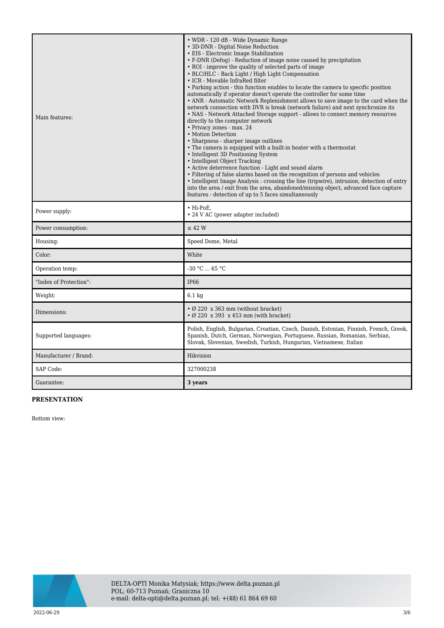| Main features:         | • WDR - 120 dB - Wide Dynamic Range<br>• 3D-DNR - Digital Noise Reduction<br>• EIS - Electronic Image Stabilization<br>• F-DNR (Defog) - Reduction of image noise caused by precipitation<br>• ROI - improve the quality of selected parts of image<br>• BLC/HLC - Back Light / High Light Compensation<br>• ICR - Movable InfraRed filter<br>• Parking action - this function enables to locate the camera to specific position<br>automatically if operator doesn't operate the controller for some time<br>• ANR - Automatic Network Replenishment allows to save image to the card when the<br>network connection with DVR is break (network failure) and next synchronize its<br>• NAS - Network Attached Storage support - allows to connect memory resources<br>directly to the computer network<br>• Privacy zones - max. 24<br>• Motion Detection<br>• Sharpness - sharper image outlines<br>• The camera is equipped with a built-in heater with a thermostat<br>• Intelligent 3D Positioning System<br>• Intelligent Object Tracking<br>• Active deterrence function - Light and sound alarm<br>• Filtering of false alarms based on the recognition of persons and vehicles<br>• Intelligent Image Analysis: crossing the line (tripwire), intrusion, detection of entry<br>into the area / exit from the area, abandoned/missing object, advanced face capture<br>features - detection of up to 5 faces simultaneously |
|------------------------|-------------------------------------------------------------------------------------------------------------------------------------------------------------------------------------------------------------------------------------------------------------------------------------------------------------------------------------------------------------------------------------------------------------------------------------------------------------------------------------------------------------------------------------------------------------------------------------------------------------------------------------------------------------------------------------------------------------------------------------------------------------------------------------------------------------------------------------------------------------------------------------------------------------------------------------------------------------------------------------------------------------------------------------------------------------------------------------------------------------------------------------------------------------------------------------------------------------------------------------------------------------------------------------------------------------------------------------------------------------------------------------------------------------------------------------|
| Power supply:          | · Hi-PoE.<br>• 24 V AC (power adapter included)                                                                                                                                                                                                                                                                                                                                                                                                                                                                                                                                                                                                                                                                                                                                                                                                                                                                                                                                                                                                                                                                                                                                                                                                                                                                                                                                                                                     |
| Power consumption:     | $\leq$ 42 W                                                                                                                                                                                                                                                                                                                                                                                                                                                                                                                                                                                                                                                                                                                                                                                                                                                                                                                                                                                                                                                                                                                                                                                                                                                                                                                                                                                                                         |
| Housing:               | Speed Dome, Metal                                                                                                                                                                                                                                                                                                                                                                                                                                                                                                                                                                                                                                                                                                                                                                                                                                                                                                                                                                                                                                                                                                                                                                                                                                                                                                                                                                                                                   |
| Color:                 | White                                                                                                                                                                                                                                                                                                                                                                                                                                                                                                                                                                                                                                                                                                                                                                                                                                                                                                                                                                                                                                                                                                                                                                                                                                                                                                                                                                                                                               |
| Operation temp:        | $-30 °C$ 65 °C                                                                                                                                                                                                                                                                                                                                                                                                                                                                                                                                                                                                                                                                                                                                                                                                                                                                                                                                                                                                                                                                                                                                                                                                                                                                                                                                                                                                                      |
| "Index of Protection": | <b>IP66</b>                                                                                                                                                                                                                                                                                                                                                                                                                                                                                                                                                                                                                                                                                                                                                                                                                                                                                                                                                                                                                                                                                                                                                                                                                                                                                                                                                                                                                         |
| Weight:                | $6.1 \text{ kg}$                                                                                                                                                                                                                                                                                                                                                                                                                                                                                                                                                                                                                                                                                                                                                                                                                                                                                                                                                                                                                                                                                                                                                                                                                                                                                                                                                                                                                    |
| Dimensions:            | $\cdot$ Ø 220 x 363 mm (without bracket)<br>$\cdot$ Ø 220 x 393 x 453 mm (with bracket)                                                                                                                                                                                                                                                                                                                                                                                                                                                                                                                                                                                                                                                                                                                                                                                                                                                                                                                                                                                                                                                                                                                                                                                                                                                                                                                                             |
| Supported languages:   | Polish, English, Bulgarian, Croatian, Czech, Danish, Estonian, Finnish, French, Greek,<br>Spanish, Dutch, German, Norwegian, Portuguese, Russian, Romanian, Serbian,<br>Slovak, Slovenian, Swedish, Turkish, Hungarian, Vietnamese, Italian                                                                                                                                                                                                                                                                                                                                                                                                                                                                                                                                                                                                                                                                                                                                                                                                                                                                                                                                                                                                                                                                                                                                                                                         |
| Manufacturer / Brand:  | Hikvision                                                                                                                                                                                                                                                                                                                                                                                                                                                                                                                                                                                                                                                                                                                                                                                                                                                                                                                                                                                                                                                                                                                                                                                                                                                                                                                                                                                                                           |
| SAP Code:              | 327000238                                                                                                                                                                                                                                                                                                                                                                                                                                                                                                                                                                                                                                                                                                                                                                                                                                                                                                                                                                                                                                                                                                                                                                                                                                                                                                                                                                                                                           |
| Guarantee:             | 3 years                                                                                                                                                                                                                                                                                                                                                                                                                                                                                                                                                                                                                                                                                                                                                                                                                                                                                                                                                                                                                                                                                                                                                                                                                                                                                                                                                                                                                             |

## **PRESENTATION**

Bottom view:

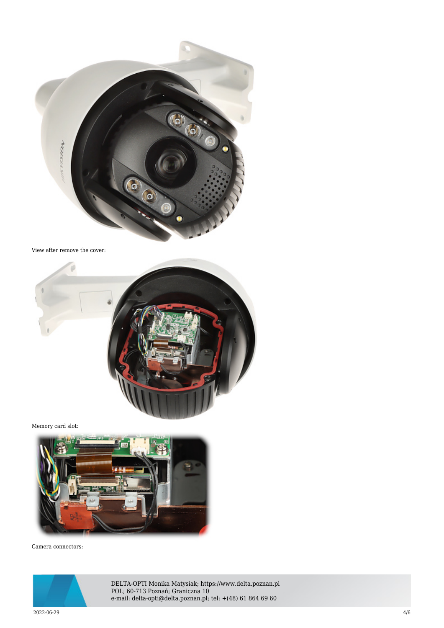

View after remove the cover:



Memory card slot:



Camera connectors:



DELTA-OPTI Monika Matysiak; https://www.delta.poznan.pl POL; 60-713 Poznań; Graniczna 10 e-mail: delta-opti@delta.poznan.pl; tel: +(48) 61 864 69 60

 $2022{\cdot}06{\cdot}29$  and the set of the set of the set of the set of the set of the set of the set of the set of the set of the set of the set of the set of the set of the set of the set of the set of the set of the set of th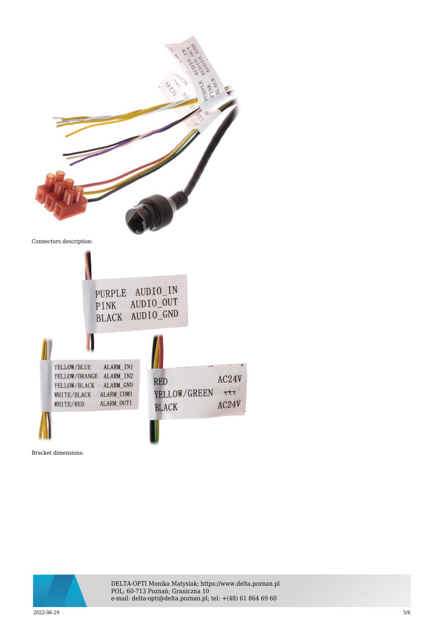



 $2022{\cdot}06{\cdot}29$   $5/6$